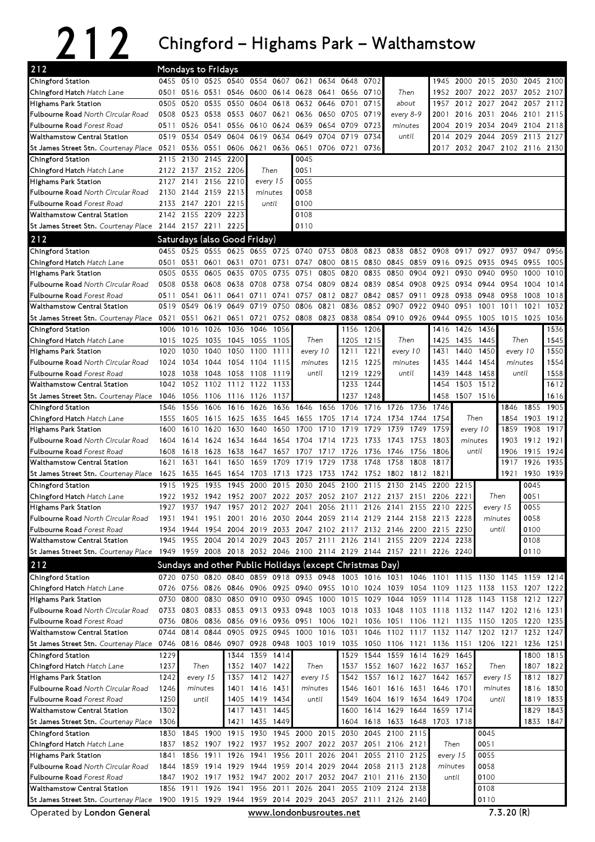## 212 Chingford – Highams Park – Walthamstow

| 212                                                                                                        |      |           | <b>Mondays to Fridays</b>    |      |                        |                |                                                                       |           |                     |           |                               |           |           |           |                                                                                           |          |           |           |
|------------------------------------------------------------------------------------------------------------|------|-----------|------------------------------|------|------------------------|----------------|-----------------------------------------------------------------------|-----------|---------------------|-----------|-------------------------------|-----------|-----------|-----------|-------------------------------------------------------------------------------------------|----------|-----------|-----------|
| Chingford Station                                                                                          |      |           | 0455 0510 0525 0540          |      | 0554                   | 0607           | 0621                                                                  | 0634      | 0648                | 0702      |                               |           | 1945      | 2000      | 2015 2030                                                                                 |          | 2045      | 2100      |
| Chingford Hatch Hatch Lane                                                                                 | 0501 |           | 0516 0531 0546               |      | 0600                   | 0614 0628      |                                                                       | 0641      | 0656                | 0710      | Then                          |           | 1952      | 2007      | 2022 2037                                                                                 |          | 2052      | 2107      |
| <b>Highams Park Station</b>                                                                                | 0505 | 0520      | 0535                         | 0550 | 0604                   | 0618           | 0632                                                                  | 0646      | 0701                | 0715      | about                         |           | 1957      | 2012      | 2027                                                                                      | 2042     | 2057      | 2112      |
| Fulbourne Road North Circular Road                                                                         | 0508 | 0523 0538 |                              | 0553 | 0607                   | 0621           | 0636                                                                  | 0650      | 0705 0719           |           | every 8-9                     |           | 2001      | 2016      | 2031                                                                                      | 2046     | 2101      | 2115      |
| Fulbourne Road Forest Road                                                                                 | 0511 | 0526      | 0541                         | 0556 | 0610                   | 0624           | 0639                                                                  | 0654      | 0709                | 0723      | minutes                       |           | 2004      | 2019      | 2034                                                                                      | 2049     | 2104      | 2118      |
| <b>Walthamstow Central Station</b>                                                                         | 0519 | 0534      | 0549                         | 0604 | 0619                   | 0634           | 0649                                                                  | 0704      | 0719                | 0734      | until                         |           | 2014      | 2029      | 2044                                                                                      | 2059     | 2113      | 2127      |
| St James Street Stn. Courtenay Place                                                                       | 0521 | 0536      | 0551                         | 0606 | 0621                   | 0636           | 0651                                                                  | 0706 0721 |                     | 0736      |                               |           | 2017      |           | 2032 2047 2102 2116 2130                                                                  |          |           |           |
| Chingford Station                                                                                          | 2115 |           | 2130 2145 2200               |      |                        |                | 0045                                                                  |           |                     |           |                               |           |           |           |                                                                                           |          |           |           |
| Chingford Hatch Hatch Lane                                                                                 |      | 2122 2137 | 2152 2206                    |      | Then                   |                | 0051                                                                  |           |                     |           |                               |           |           |           |                                                                                           |          |           |           |
| <b>Highams Park Station</b>                                                                                | 2127 | 2141      | 2156                         | 2210 | every 15               |                | 0055                                                                  |           |                     |           |                               |           |           |           |                                                                                           |          |           |           |
| Fulbourne Road North Circular Road                                                                         | 2130 |           | 2144 2159 2213               |      | minutes                |                | 0058                                                                  |           |                     |           |                               |           |           |           |                                                                                           |          |           |           |
| Fulbourne Road Forest Road                                                                                 | 2133 | 2147      | 2201 2215                    |      | until                  |                | 0100                                                                  |           |                     |           |                               |           |           |           |                                                                                           |          |           |           |
| <b>Walthamstow Central Station</b>                                                                         |      |           | 2142 2155 2209 2223          |      |                        |                | 0108                                                                  |           |                     |           |                               |           |           |           |                                                                                           |          |           |           |
| St James Street Stn. Courtenay Place 2144 2157 2211 2225                                                   |      |           |                              |      |                        |                | 0110                                                                  |           |                     |           |                               |           |           |           |                                                                                           |          |           |           |
| 212                                                                                                        |      |           | Saturdays (also Good Friday) |      |                        |                |                                                                       |           |                     |           |                               |           |           |           |                                                                                           |          |           |           |
| Chingford Station                                                                                          | 0455 | 0525      | 0555                         | 0625 | 0655                   | 0725 0740      |                                                                       | 0753 0808 |                     | 0823      | 0838                          |           | 0852 0908 | 0917      | 0927                                                                                      | 0937     | 0947      | 0956      |
| Chingford Hatch Hatch Lane                                                                                 | 0501 | 0531      | 0601                         | 0631 | 0701                   | 0731           | 0747                                                                  | 0800      | 0815                | 0830      | 0845                          |           | 0859 0916 | 0925      | 0935                                                                                      | 0945     | 0955      | 1005      |
| <b>Highams Park Station</b>                                                                                | 0505 | 0535      | 0605                         | 0635 | 0705                   | 0735           | 0751                                                                  |           | 0805 0820           | 0835      | 0850                          | 0904      | 0921      | 0930      | 0940 0950                                                                                 |          | 1000      | 1010      |
| Fulbourne Road North Circular Road                                                                         | 0508 | 0538      | 0608                         | 0638 | 0708                   | 0738           | 0754                                                                  | 0809      | 0824                | 0839      | 0854                          | 0908      | 0925      | 0934      | 0944                                                                                      | 0954     | 1004      | 1014      |
| Fulbourne Road Forest Road                                                                                 | 0511 | 0541      | 0611                         | 0641 | 0711                   | 0741           | 0757                                                                  | 0812      | 0827                | 0842      | 0857                          | 0911      | 0928      | 0938      | 0948                                                                                      | 0958     | 1008      | 1018      |
| <b>Walthamstow Central Station</b>                                                                         | 0519 | 0549      | 0619                         | 0649 | 0719                   | 0750           | 0806                                                                  | 0821      | 0836                | 0852      | 0907                          | 0922      | 0940      | 0951      | 1001                                                                                      | 1011     | 1021      | 1032      |
| St James Street Stn. Courtenay Place 0521 0551                                                             |      |           | 0621                         | 0651 | 0721                   |                | 0752 0808 0823                                                        |           | 0838                |           | 0854 0910 0926 0944 0955      |           |           |           | 1005 1015 1025                                                                            |          |           | 1036      |
| Chingford Station                                                                                          | 1006 | 1016      | 1026                         | 1036 | 1046                   | 1056           |                                                                       |           | 1156                | 1206      |                               |           | 1416      | 1426      | 1436                                                                                      |          |           | 1536      |
| Chingford Hatch Hatch Lane                                                                                 | 1015 | 1025      | 1035                         | 1045 | 1055                   | 1105           | Then                                                                  |           | 1205                | 1215      | Then                          |           | 1425      | 1435      | 1445                                                                                      | Then     |           | 1545      |
| <b>Highams Park Station</b>                                                                                | 1020 | 1030      | 1040                         | 1050 | 1100                   | 1111           | every 10                                                              |           | 1211                | 1221      | every 10                      |           | 1431      | 1440      | 1450                                                                                      | every 10 |           | 1550      |
| Fulbourne Road North Circular Road                                                                         | 1024 | 1034      | 1044                         | 1054 | 1104                   | 1115           | minutes                                                               |           | 1215                | 1225      | minutes                       |           | 1435      | 1444      | 1454                                                                                      | minutes  |           | 1554      |
| Fulbourne Road Forest Road                                                                                 | 1028 | 1038      | 1048                         | 1058 | 1108                   | 1119           | until                                                                 |           | 1219                | 1229      | until                         |           | 1439      | 1448      | 1458                                                                                      | until    |           | 1558      |
| Walthamstow Central Station                                                                                | 1042 | 1052      | 1102                         | 1112 | 1122                   | 1133           |                                                                       |           | 1233                | 1244      |                               |           | 1454      | 1503      | 1512                                                                                      |          |           | 1612      |
| St James Street Stn. Courtenay Place 1046                                                                  |      |           | 1056 1106 1116 1126 1137     |      |                        |                |                                                                       |           | 1237                | 1248      |                               |           | 1458      | 1507 1516 |                                                                                           |          |           | 1616      |
| Chingford Station                                                                                          | 1546 | 1556      | 1606                         | 1616 | 1626                   | 1636           | 1646                                                                  | 1656      | 1706                | 1716      | 1726                          | 1736      | 1746      |           |                                                                                           | 1846     | 1855      | 1905      |
| Chingford Hatch Hatch Lane                                                                                 | 1555 | 1605      | 1615                         | 1625 | 1635                   | 1645           | 1655                                                                  | 1705      | 1714                | 1724      | 1734                          | 1744      | 1754      | Then      |                                                                                           | 1854     | 1903      | 1912      |
| <b>Highams Park Station</b>                                                                                | 1600 | 1610      | 1620                         | 1630 | 1640                   | 1650           | 1700                                                                  | 1710      | 1719                | 1729      | 1739                          | 1749      | 1759      | every 10  |                                                                                           | 1859     | 1908      | 1917      |
| Fulbourne Road North Circular Road                                                                         | 1604 | 1614      | 1624                         | 1634 | 1644                   | 1654           | 1704                                                                  | 1714      | 1723                | 1733      | 1743                          | 1753      | 1803      | minutes   |                                                                                           | 1903     | 1912      | 1921      |
| Fulbourne Road Forest Road                                                                                 | 1608 | 1618      | 1628                         | 1638 | 1647                   | 1657           | 1707                                                                  | 1717      | 1726                | 1736      | 1746                          | 1756      | 1806      | until     |                                                                                           | 1906     | 1915      | 1924      |
| <b>Walthamstow Central Station</b>                                                                         | 1621 | 1631      | 1641                         | 1650 | 1659                   | 1709           | 1719                                                                  | 1729      | 1738                | 1748      | 1758                          | 1808      | 1817      |           |                                                                                           | 1917     | 1926      | 1935      |
| St James Street Stn. Courtenay Place 1625                                                                  |      | 1635      | 1645                         | 1654 | 1703 1713 1723         |                |                                                                       | 1733      |                     |           | 1742 1752 1802 1812 1821      |           |           |           |                                                                                           | 1921     | 1930 1939 |           |
| Chingford Station                                                                                          | 1915 | 1925      | 1935                         | 1945 | 2000                   | 2015           | 2030                                                                  | 2045      | 2100                | 2115      | 2130                          |           | 2145 2200 | 2215      |                                                                                           |          | 0045      |           |
| Chingford Hatch Hatch Lane                                                                                 | 1922 | 1932      | 1942                         | 1952 | 2007                   | 2022           | 2037                                                                  |           | 2052 2107           | 2122      | 2137                          | 2151      | 2206      | 2221      | Then                                                                                      |          | 0051      |           |
| <b>Highams Park Station</b>                                                                                | 1927 | 1937      | 1947                         | 1957 |                        |                | 2012 2027 2041                                                        |           | 2056 2111 2126 2141 |           |                               | 2155 2210 |           | 2225      | every 15                                                                                  |          | 0055      |           |
| Fulbourne Road North Circular Road                                                                         |      |           |                              |      |                        |                | 1931 1941 1951 2001 2016 2030 2044 2059 2114 2129 2144 2158 2213 2228 |           |                     |           |                               |           |           |           | minutes                                                                                   |          | 0058      |           |
| Fulbourne Road Forest Road                                                                                 | 1934 | 1944      | 1954 2004                    |      |                        |                | 2019 2033 2047 2102 2117 2132 2146 2200 2215                          |           |                     |           |                               |           |           | 2230      | until                                                                                     |          | 0100      |           |
| Walthamstow Central Station                                                                                |      |           |                              |      |                        |                | 1945 1955 2004 2014 2029 2043 2057 2111 2126 2141 2155 2209 2224 2238 |           |                     |           |                               |           |           |           |                                                                                           |          | 0108      |           |
| St James Street Stn. Courtenay Place 1949 1959 2008 2018 2032 2046 2100 2114 2129 2144 2157 2211 2226 2240 |      |           |                              |      |                        |                |                                                                       |           |                     |           |                               |           |           |           |                                                                                           |          | 0110      |           |
| 212                                                                                                        |      |           |                              |      |                        |                | Sundays and other Public Holidays (except Christmas Day)              |           |                     |           |                               |           |           |           |                                                                                           |          |           |           |
| Chingford Station                                                                                          |      |           |                              |      |                        |                |                                                                       |           |                     |           |                               |           |           |           | 0720 0750 0820 0840 0859 0918 0933 0948 1003 1016 1031 1046 1101 1115 1130 1145 1159 1214 |          |           |           |
| Chingford Hatch Hatch Lane                                                                                 |      |           | 0726 0756 0826 0846          |      |                        |                | 0906 0925 0940 0955 1010 1024 1039                                    |           |                     |           |                               | 1054 1109 |           | 1123      | 1138 1153 1207 1222                                                                       |          |           |           |
| Highams Park Station                                                                                       |      | 0730 0800 | 0830                         | 0850 |                        | 0910 0930      | 0945                                                                  |           | 1000 1015 1029      |           | 1044                          |           | 1059 1114 | 1128      | 1143 1158 1212 1227                                                                       |          |           |           |
| <b>Fulbourne Road North Circular Road</b>                                                                  | 0733 | 0803 0833 |                              | 0853 |                        | 0913 0933 0948 |                                                                       |           | 1003 1018           | 1033 1048 |                               | 1103 1118 |           |           | 1132 1147 1202 1216 1231                                                                  |          |           |           |
| Fulbourne Road Forest Road                                                                                 | 0736 |           | 0806 0836 0856               |      | 0916 0936 0951         |                |                                                                       | 1006 1021 |                     | 1036 1051 |                               | 1106 1121 |           | 1135      | 1150 1205 1220                                                                            |          |           | 1235      |
| <b>Walthamstow Central Station</b>                                                                         | 0744 | 0814 0844 |                              | 0905 | 0925 0945 1000         |                |                                                                       |           | 1016 1031           | 1046      | 1102 1117 1132 1147           |           |           |           | 1202 1217 1232 1247                                                                       |          |           |           |
| St James Street Stn. Courtenay Place 0746 0816 0846 0907 0928 0948 1003 1019 1035 1050 1106 1121 1136 1151 |      |           |                              |      |                        |                |                                                                       |           |                     |           |                               |           |           |           | 1206 1221                                                                                 |          | 1236 1251 |           |
| Chingford Station                                                                                          |      |           |                              |      |                        |                |                                                                       |           |                     |           |                               |           |           |           |                                                                                           |          |           | 1815      |
|                                                                                                            | 1229 |           |                              | 1344 | 1359                   | 1414           |                                                                       |           | 1529                | 1544      | 1559 1614                     |           | 1629      | 1645      |                                                                                           |          | 1800      |           |
| Chingford Hatch Hatch Lane                                                                                 | 1237 | Then      |                              |      | 1352 1407 1422         |                | Then                                                                  |           | 1537                |           | 1552 1607 1622 1637 1652      |           |           |           | Then                                                                                      |          | 1807      | 1822      |
| Highams Park Station                                                                                       | 1242 | every 15  |                              | 1357 | 1412 1427              |                | every 15                                                              |           | 1542                |           | 1557 1612 1627                |           | 1642 1657 |           | every 15                                                                                  |          |           | 1812 1827 |
| Fulbourne Road North Circular Road                                                                         | 1246 | minutes   |                              | 1401 | 1416 1431              |                | minutes                                                               |           | 1546                |           | 1601 1616 1631                |           | 1646 1701 |           | minutes                                                                                   |          |           | 1816 1830 |
| Fulbourne Road Forest Road                                                                                 | 1250 | until     |                              | 1405 | 1419 1434              |                | until                                                                 |           | 1549                |           | 1604 1619 1634                |           | 1649 1704 |           | until                                                                                     |          |           | 1819 1833 |
| <b>Walthamstow Central Station</b>                                                                         | 1302 |           |                              |      | 1417 1431 1445         |                |                                                                       |           | 1600                |           | 1614 1629 1644                |           | 1659 1714 |           |                                                                                           |          | 1829      | 1843      |
| St James Street Stn. Courtenay Place 1306                                                                  |      |           |                              |      | 1421 1435 1449         |                |                                                                       |           |                     |           | 1604 1618 1633 1648 1703 1718 |           |           |           |                                                                                           |          |           | 1833 1847 |
| Chingford Station                                                                                          | 1830 | 1845      | 1900                         | 1915 | 1930                   |                | 1945 2000                                                             | 2015      | 2030                |           | 2045 2100                     | 2115      |           |           | 0045                                                                                      |          |           |           |
| Chingford Hatch Hatch Lane                                                                                 | 1837 |           |                              |      |                        |                | 1852 1907 1922 1937 1952 2007 2022 2037                               |           |                     |           | 2051 2106 2121                |           | Then      |           | 0051                                                                                      |          |           |           |
| Highams Park Station                                                                                       | 1841 | 1856      | 1911                         | 1926 | 1941                   | 1956           | 2011                                                                  | 2026 2041 |                     |           | 2055 2110 2125                |           | every 15  |           | 0055                                                                                      |          |           |           |
| Fulbourne Road North Circular Road                                                                         | 1844 | 1859      | 1914 1929                    |      |                        |                | 1944 1959 2014                                                        |           |                     |           | 2029 2044 2058 2113 2128      |           | minutes   |           | 0058                                                                                      |          |           |           |
| Fulbourne Road Forest Road                                                                                 | 1847 | 1902      | 1917 1932                    |      |                        | 1947 2002 2017 |                                                                       |           |                     |           | 2032 2047 2101 2116 2130      |           | until     |           | 0100                                                                                      |          |           |           |
| <b>Walthamstow Central Station</b><br>St James Street Stn. Courtenay Place 1900 1915 1929 1944             |      | 1856 1911 | 1926                         | 1941 | 1956<br>1959 2014 2029 | 2011           | 2026                                                                  | 2041      | 2055 2109 2124      |           | 2043 2057 2111 2126 2140      | 2138      |           |           | 0108<br>0110                                                                              |          |           |           |

Operated by London General

www.londonbusroutes.net